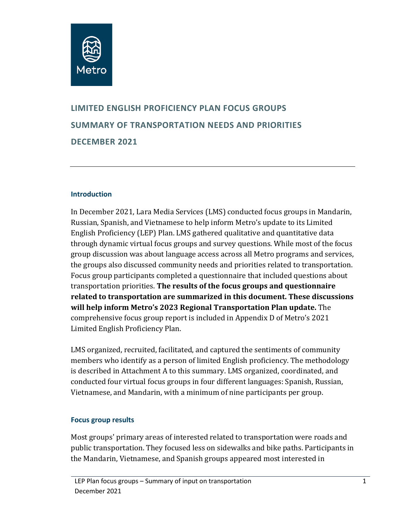

# **LIMITED ENGLISH PROFICIENCY PLAN FOCUS GROUPS SUMMARY OF TRANSPORTATION NEEDS AND PRIORITIES DECEMBER 2021**

#### **Introduction**

In December 2021, Lara Media Services (LMS) conducted focus groups in Mandarin, Russian, Spanish, and Vietnamese to help inform Metro's update to its Limited English Proficiency (LEP) Plan. LMS gathered qualitative and quantitative data through dynamic virtual focus groups and survey questions. While most of the focus group discussion was about language access across all Metro programs and services, the groups also discussed community needs and priorities related to transportation. Focus group participants completed a questionnaire that included questions about transportation priorities. **The results of the focus groups and questionnaire related to transportation are summarized in this document. These discussions will help inform Metro's 2023 Regional Transportation Plan update.** The comprehensive focus group report is included in Appendix D of Metro's 2021 Limited English Proficiency Plan.

LMS organized, recruited, facilitated, and captured the sentiments of community members who identify as a person of limited English proficiency. The methodology is described in Attachment A to this summary. LMS organized, coordinated, and conducted four virtual focus groups in four different languages: Spanish, Russian, Vietnamese, and Mandarin, with a minimum of nine participants per group.

#### **Focus group results**

Most groups' primary areas of interested related to transportation were roads and public transportation. They focused less on sidewalks and bike paths. Participants in the Mandarin, Vietnamese, and Spanish groups appeared most interested in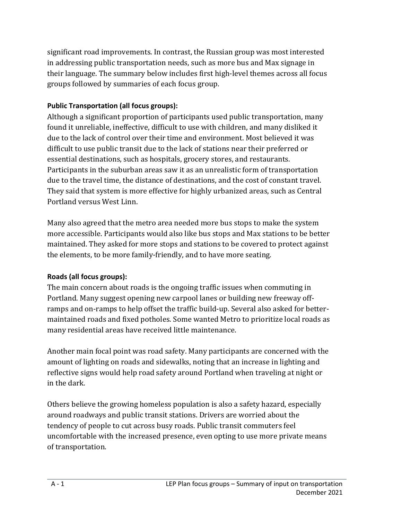significant road improvements. In contrast, the Russian group was most interested in addressing public transportation needs, such as more bus and Max signage in their language. The summary below includes first high-level themes across all focus groups followed by summaries of each focus group.

# **Public Transportation (all focus groups):**

Although a significant proportion of participants used public transportation, many found it unreliable, ineffective, difficult to use with children, and many disliked it due to the lack of control over their time and environment. Most believed it was difficult to use public transit due to the lack of stations near their preferred or essential destinations, such as hospitals, grocery stores, and restaurants. Participants in the suburban areas saw it as an unrealistic form of transportation due to the travel time, the distance of destinations, and the cost of constant travel. They said that system is more effective for highly urbanized areas, such as Central Portland versus West Linn.

Many also agreed that the metro area needed more bus stops to make the system more accessible. Participants would also like bus stops and Max stations to be better maintained. They asked for more stops and stations to be covered to protect against the elements, to be more family-friendly, and to have more seating.

# **Roads (all focus groups):**

The main concern about roads is the ongoing traffic issues when commuting in Portland. Many suggest opening new carpool lanes or building new freeway offramps and on-ramps to help offset the traffic build-up. Several also asked for bettermaintained roads and fixed potholes. Some wanted Metro to prioritize local roads as many residential areas have received little maintenance.

Another main focal point was road safety. Many participants are concerned with the amount of lighting on roads and sidewalks, noting that an increase in lighting and reflective signs would help road safety around Portland when traveling at night or in the dark.

Others believe the growing homeless population is also a safety hazard, especially around roadways and public transit stations. Drivers are worried about the tendency of people to cut across busy roads. Public transit commuters feel uncomfortable with the increased presence, even opting to use more private means of transportation.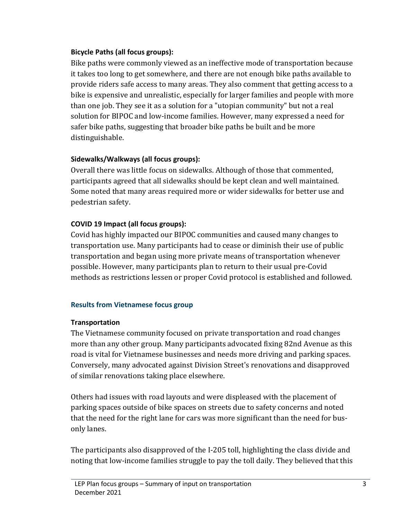# **Bicycle Paths (all focus groups):**

Bike paths were commonly viewed as an ineffective mode of transportation because it takes too long to get somewhere, and there are not enough bike paths available to provide riders safe access to many areas. They also comment that getting access to a bike is expensive and unrealistic, especially for larger families and people with more than one job. They see it as a solution for a "utopian community" but not a real solution for BIPOC and low-income families. However, many expressed a need for safer bike paths, suggesting that broader bike paths be built and be more distinguishable.

# **Sidewalks/Walkways (all focus groups):**

Overall there was little focus on sidewalks. Although of those that commented, participants agreed that all sidewalks should be kept clean and well maintained. Some noted that many areas required more or wider sidewalks for better use and pedestrian safety.

# **COVID 19 Impact (all focus groups):**

Covid has highly impacted our BIPOC communities and caused many changes to transportation use. Many participants had to cease or diminish their use of public transportation and began using more private means of transportation whenever possible. However, many participants plan to return to their usual pre-Covid methods as restrictions lessen or proper Covid protocol is established and followed.

# **Results from Vietnamese focus group**

# **Transportation**

The Vietnamese community focused on private transportation and road changes more than any other group. Many participants advocated fixing 82nd Avenue as this road is vital for Vietnamese businesses and needs more driving and parking spaces. Conversely, many advocated against Division Street's renovations and disapproved of similar renovations taking place elsewhere.

Others had issues with road layouts and were displeased with the placement of parking spaces outside of bike spaces on streets due to safety concerns and noted that the need for the right lane for cars was more significant than the need for busonly lanes.

The participants also disapproved of the I-205 toll, highlighting the class divide and noting that low-income families struggle to pay the toll daily. They believed that this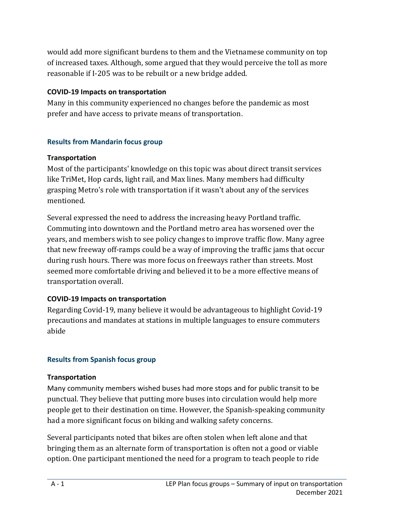would add more significant burdens to them and the Vietnamese community on top of increased taxes. Although, some argued that they would perceive the toll as more reasonable if I-205 was to be rebuilt or a new bridge added.

# **COVID-19 Impacts on transportation**

Many in this community experienced no changes before the pandemic as most prefer and have access to private means of transportation.

# **Results from Mandarin focus group**

# **Transportation**

Most of the participants' knowledge on this topic was about direct transit services like TriMet, Hop cards, light rail, and Max lines. Many members had difficulty grasping Metro's role with transportation if it wasn't about any of the services mentioned.

Several expressed the need to address the increasing heavy Portland traffic. Commuting into downtown and the Portland metro area has worsened over the years, and members wish to see policy changes to improve traffic flow. Many agree that new freeway off-ramps could be a way of improving the traffic jams that occur during rush hours. There was more focus on freeways rather than streets. Most seemed more comfortable driving and believed it to be a more effective means of transportation overall.

# **COVID-19 Impacts on transportation**

Regarding Covid-19, many believe it would be advantageous to highlight Covid-19 precautions and mandates at stations in multiple languages to ensure commuters abide

# **Results from Spanish focus group**

# **Transportation**

Many community members wished buses had more stops and for public transit to be punctual. They believe that putting more buses into circulation would help more people get to their destination on time. However, the Spanish-speaking community had a more significant focus on biking and walking safety concerns.

Several participants noted that bikes are often stolen when left alone and that bringing them as an alternate form of transportation is often not a good or viable option. One participant mentioned the need for a program to teach people to ride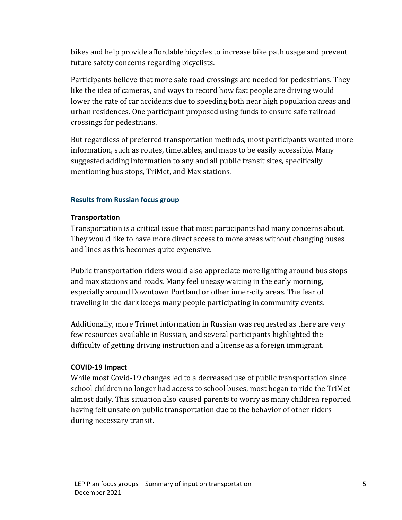bikes and help provide affordable bicycles to increase bike path usage and prevent future safety concerns regarding bicyclists.

Participants believe that more safe road crossings are needed for pedestrians. They like the idea of cameras, and ways to record how fast people are driving would lower the rate of car accidents due to speeding both near high population areas and urban residences. One participant proposed using funds to ensure safe railroad crossings for pedestrians.

But regardless of preferred transportation methods, most participants wanted more information, such as routes, timetables, and maps to be easily accessible. Many suggested adding information to any and all public transit sites, specifically mentioning bus stops, TriMet, and Max stations.

# **Results from Russian focus group**

# **Transportation**

Transportation is a critical issue that most participants had many concerns about. They would like to have more direct access to more areas without changing buses and lines as this becomes quite expensive.

Public transportation riders would also appreciate more lighting around bus stops and max stations and roads. Many feel uneasy waiting in the early morning, especially around Downtown Portland or other inner-city areas. The fear of traveling in the dark keeps many people participating in community events.

Additionally, more Trimet information in Russian was requested as there are very few resources available in Russian, and several participants highlighted the difficulty of getting driving instruction and a license as a foreign immigrant.

# **COVID-19 Impact**

While most Covid-19 changes led to a decreased use of public transportation since school children no longer had access to school buses, most began to ride the TriMet almost daily. This situation also caused parents to worry as many children reported having felt unsafe on public transportation due to the behavior of other riders during necessary transit.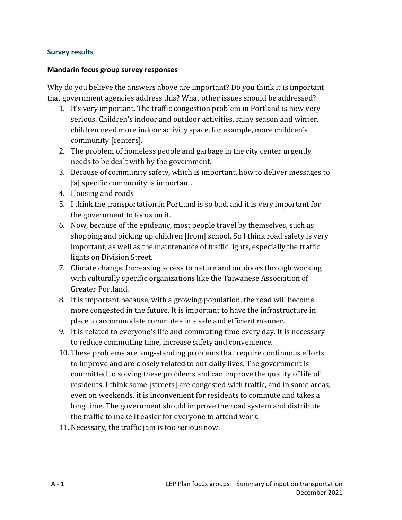#### **Survey results**

#### **Mandarin focus group survey responses**

Why do you believe the answers above are important? Do you think it is important that government agencies address this? What other issues should be addressed?

- 1. It's very important. The traffic congestion problem in Portland is now very serious. Children's indoor and outdoor activities, rainy season and winter, children need more indoor activity space, for example, more children's community [centers].
- 2. The problem of homeless people and garbage in the city center urgently needs to be dealt with by the government.
- 3. Because of community safety, which is important, how to deliver messages to [a] specific community is important.
- 4. Housing and roads
- 5. I think the transportation in Portland is so bad, and it is very important for the government to focus on it.
- 6. Now, because of the epidemic, most people travel by themselves, such as shopping and picking up children [from] school. So I think road safety is very important, as well as the maintenance of traffic lights, especially the traffic lights on Division Street.
- 7. Climate change. Increasing access to nature and outdoors through working with culturally specific organizations like the Taiwanese Association of Greater Portland.
- 8. It is important because, with a growing population, the road will become more congested in the future. It is important to have the infrastructure in place to accommodate commutes in a safe and efficient manner.
- 9. It is related to everyone's life and commuting time every day. It is necessary to reduce commuting time, increase safety and convenience.
- 10. These problems are long-standing problems that require continuous efforts to improve and are closely related to our daily lives. The government is committed to solving these problems and can improve the quality of life of residents. I think some [streets] are congested with traffic, and in some areas, even on weekends, it is inconvenient for residents to commute and takes a long time. The government should improve the road system and distribute the traffic to make it easier for everyone to attend work.
- 11. Necessary, the traffic jam is too serious now.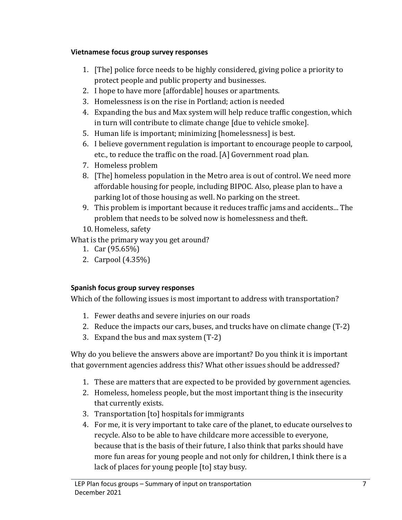# **Vietnamese focus group survey responses**

- 1. [The] police force needs to be highly considered, giving police a priority to protect people and public property and businesses.
- 2. I hope to have more [affordable] houses or apartments.
- 3. Homelessness is on the rise in Portland; action is needed
- 4. Expanding the bus and Max system will help reduce traffic congestion, which in turn will contribute to climate change [due to vehicle smoke].
- 5. Human life is important; minimizing [homelessness] is best.
- 6. I believe government regulation is important to encourage people to carpool, etc., to reduce the traffic on the road. [A] Government road plan.
- 7. Homeless problem
- 8. [The] homeless population in the Metro area is out of control. We need more affordable housing for people, including BIPOC. Also, please plan to have a parking lot of those housing as well. No parking on the street.
- 9. This problem is important because it reduces traffic jams and accidents... The problem that needs to be solved now is homelessness and theft.
- 10. Homeless, safety

What is the primary way you get around?

- 1. Car (95.65%)
- 2. Carpool (4.35%)

# **Spanish focus group survey responses**

Which of the following issues is most important to address with transportation?

- 1. Fewer deaths and severe injuries on our roads
- 2. Reduce the impacts our cars, buses, and trucks have on climate change (T-2)
- 3. Expand the bus and max system (T-2)

Why do you believe the answers above are important? Do you think it is important that government agencies address this? What other issues should be addressed?

- 1. These are matters that are expected to be provided by government agencies.
- 2. Homeless, homeless people, but the most important thing is the insecurity that currently exists.
- 3. Transportation [to] hospitals for immigrants
- 4. For me, it is very important to take care of the planet, to educate ourselves to recycle. Also to be able to have childcare more accessible to everyone, because that is the basis of their future, I also think that parks should have more fun areas for young people and not only for children, I think there is a lack of places for young people [to] stay busy.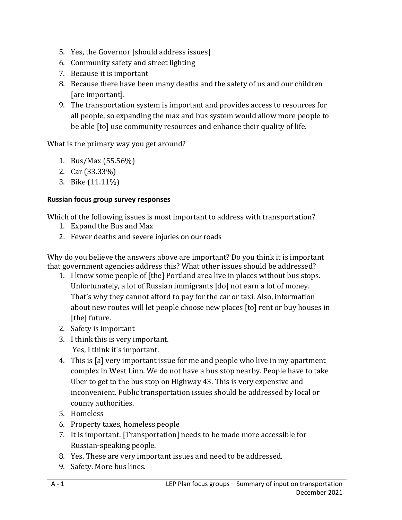- 5. Yes, the Governor [should address issues]
- 6. Community safety and street lighting
- 7. Because it is important
- 8. Because there have been many deaths and the safety of us and our children [are important].
- 9. The transportation system is important and provides access to resources for all people, so expanding the max and bus system would allow more people to be able [to] use community resources and enhance their quality of life.

What is the primary way you get around?

- 1. Bus/Max (55.56%)
- 2. Car (33.33%)
- 3. Bike (11.11%)

#### **Russian focus group survey responses**

Which of the following issues is most important to address with transportation?

- 1. Expand the Bus and Max
- 2. Fewer deaths and severe injuries on our roads

Why do you believe the answers above are important? Do you think it is important that government agencies address this? What other issues should be addressed?

- 1. I know some people of [the] Portland area live in places without bus stops. Unfortunately, a lot of Russian immigrants [do] not earn a lot of money. That's why they cannot afford to pay for the car or taxi. Also, information about new routes will let people choose new places [to] rent or buy houses in [the] future.
- 2. Safety is important
- 3. I think this is very important. Yes, I think it's important.
- 4. This is [a] very important issue for me and people who live in my apartment complex in West Linn. We do not have a bus stop nearby. People have to take Uber to get to the bus stop on Highway 43. This is very expensive and inconvenient. Public transportation issues should be addressed by local or county authorities.
- 5. Homeless
- 6. Property taxes, homeless people
- 7. It is important. [Transportation] needs to be made more accessible for Russian-speaking people.
- 8. Yes. These are very important issues and need to be addressed.
- 9. Safety. More bus lines.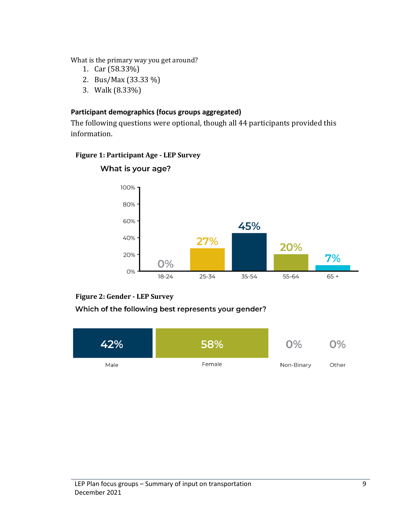What is the primary way you get around?

- 1. Car (58.33%)
- 2. Bus/Max (33.33 %)
- 3. Walk (8.33%)

### **Participant demographics (focus groups aggregated)**

The following questions were optional, though all 44 participants provided this information.

### **Figure 1: Participant Age - LEP Survey**



# What is your age?

#### **Figure 2: Gender - LEP Survey**

# Which of the following best represents your gender?

| 42%  | 58%    | O%         | $O\%$ |
|------|--------|------------|-------|
| Male | Female | Non-Binary | Other |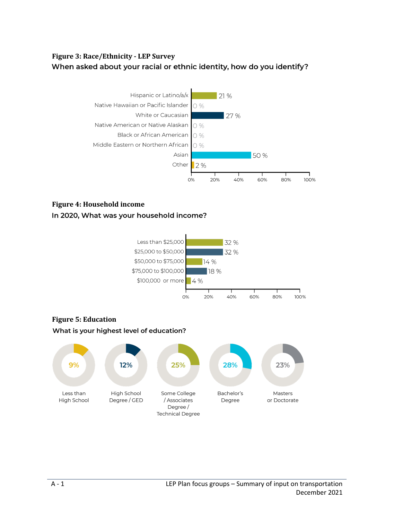# **Figure 3: Race/Ethnicity - LEP Survey** When asked about your racial or ethnic identity, how do you identify?



### **Figure 4: Household income**





# **Figure 5: Education**What is your highest level of education?

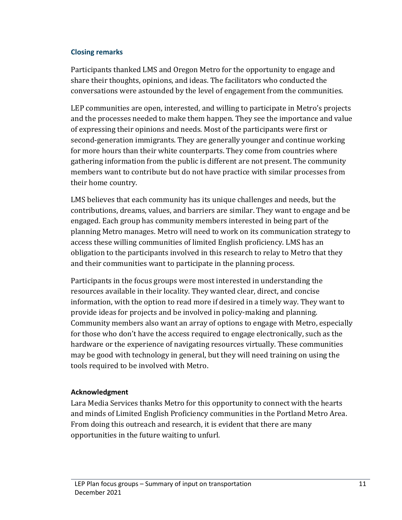### **Closing remarks**

Participants thanked LMS and Oregon Metro for the opportunity to engage and share their thoughts, opinions, and ideas. The facilitators who conducted the conversations were astounded by the level of engagement from the communities.

LEP communities are open, interested, and willing to participate in Metro's projects and the processes needed to make them happen. They see the importance and value of expressing their opinions and needs. Most of the participants were first or second-generation immigrants. They are generally younger and continue working for more hours than their white counterparts. They come from countries where gathering information from the public is different are not present. The community members want to contribute but do not have practice with similar processes from their home country.

LMS believes that each community has its unique challenges and needs, but the contributions, dreams, values, and barriers are similar. They want to engage and be engaged. Each group has community members interested in being part of the planning Metro manages. Metro will need to work on its communication strategy to access these willing communities of limited English proficiency. LMS has an obligation to the participants involved in this research to relay to Metro that they and their communities want to participate in the planning process.

Participants in the focus groups were most interested in understanding the resources available in their locality. They wanted clear, direct, and concise information, with the option to read more if desired in a timely way. They want to provide ideas for projects and be involved in policy-making and planning. Community members also want an array of options to engage with Metro, especially for those who don't have the access required to engage electronically, such as the hardware or the experience of navigating resources virtually. These communities may be good with technology in general, but they will need training on using the tools required to be involved with Metro.

# **Acknowledgment**

Lara Media Services thanks Metro for this opportunity to connect with the hearts and minds of Limited English Proficiency communities in the Portland Metro Area. From doing this outreach and research, it is evident that there are many opportunities in the future waiting to unfurl.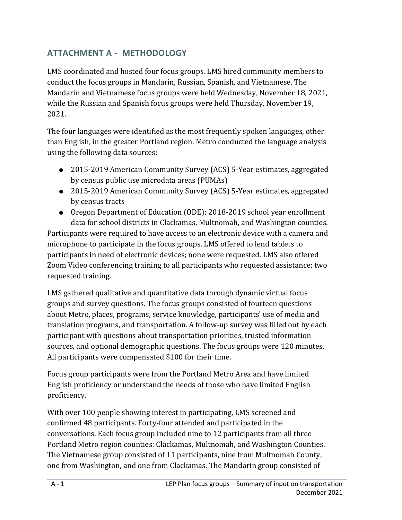# **ATTACHMENT A - METHODOLOGY**

LMS coordinated and hosted four focus groups. LMS hired community members to conduct the focus groups in Mandarin, Russian, Spanish, and Vietnamese. The Mandarin and Vietnamese focus groups were held Wednesday, November 18, 2021, while the Russian and Spanish focus groups were held Thursday, November 19, 2021.

The four languages were identified as the most frequently spoken languages, other than English, in the greater Portland region. Metro conducted the language analysis using the following data sources:

- 2015-2019 American Community Survey (ACS) 5-Year estimates, aggregated by census public use microdata areas (PUMAs)
- 2015-2019 American Community Survey (ACS) 5-Year estimates, aggregated by census tracts
- Oregon Department of Education (ODE): 2018-2019 school year enrollment data for school districts in Clackamas, Multnomah, and Washington counties.

Participants were required to have access to an electronic device with a camera and microphone to participate in the focus groups. LMS offered to lend tablets to participants in need of electronic devices; none were requested. LMS also offered Zoom Video conferencing training to all participants who requested assistance; two requested training.

LMS gathered qualitative and quantitative data through dynamic virtual focus groups and survey questions. The focus groups consisted of fourteen questions about Metro, places, programs, service knowledge, participants' use of media and translation programs, and transportation. A follow-up survey was filled out by each participant with questions about transportation priorities, trusted information sources, and optional demographic questions. The focus groups were 120 minutes. All participants were compensated \$100 for their time.

Focus group participants were from the Portland Metro Area and have limited English proficiency or understand the needs of those who have limited English proficiency.

With over 100 people showing interest in participating, LMS screened and confirmed 48 participants. Forty-four attended and participated in the conversations. Each focus group included nine to 12 participants from all three Portland Metro region counties: Clackamas, Multnomah, and Washington Counties. The Vietnamese group consisted of 11 participants, nine from Multnomah County, one from Washington, and one from Clackamas. The Mandarin group consisted of